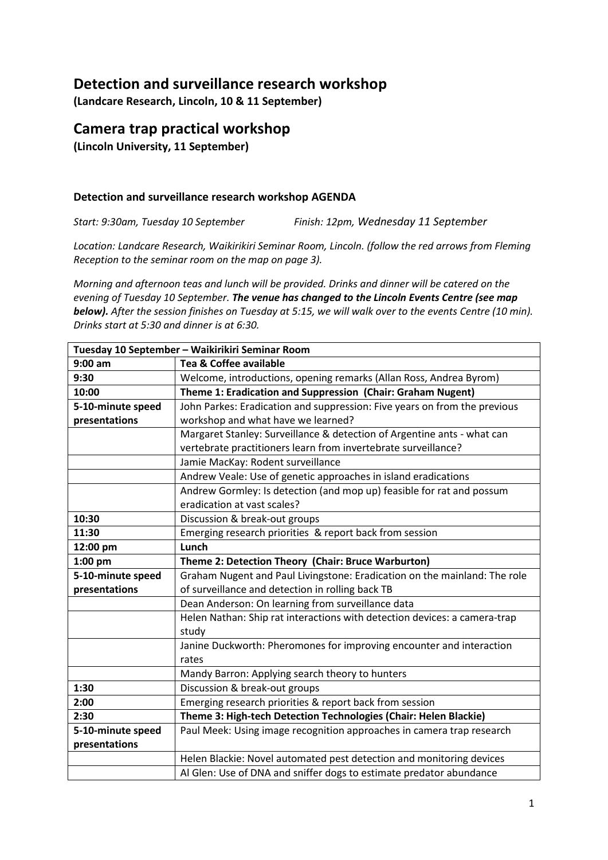# **Detection and surveillance research workshop**

**(Landcare Research, Lincoln, 10 & 11 September)**

# **Camera trap practical workshop**

**(Lincoln University, 11 September)**

### **Detection and surveillance research workshop AGENDA**

*Start: 9:30am, Tuesday 10 September Finish: 12pm, Wednesday 11 September*

*Location: Landcare Research, Waikirikiri Seminar Room, Lincoln. (follow the red arrows from Fleming Reception to the seminar room on the map on page 3).*

*Morning and afternoon teas and lunch will be provided. Drinks and dinner will be catered on the evening of Tuesday 10 September. The venue has changed to the Lincoln Events Centre (see map below). After the session finishes on Tuesday at 5:15, we will walk over to the events Centre (10 min). Drinks start at 5:30 and dinner is at 6:30.* 

| Tuesday 10 September - Waikirikiri Seminar Room |                                                                                    |  |
|-------------------------------------------------|------------------------------------------------------------------------------------|--|
| $9:00$ am                                       | Tea & Coffee available                                                             |  |
| 9:30                                            | Welcome, introductions, opening remarks (Allan Ross, Andrea Byrom)                 |  |
| 10:00                                           | Theme 1: Eradication and Suppression (Chair: Graham Nugent)                        |  |
| 5-10-minute speed                               | John Parkes: Eradication and suppression: Five years on from the previous          |  |
| presentations                                   | workshop and what have we learned?                                                 |  |
|                                                 | Margaret Stanley: Surveillance & detection of Argentine ants - what can            |  |
|                                                 | vertebrate practitioners learn from invertebrate surveillance?                     |  |
|                                                 | Jamie MacKay: Rodent surveillance                                                  |  |
|                                                 | Andrew Veale: Use of genetic approaches in island eradications                     |  |
|                                                 | Andrew Gormley: Is detection (and mop up) feasible for rat and possum              |  |
|                                                 | eradication at vast scales?                                                        |  |
| 10:30                                           | Discussion & break-out groups                                                      |  |
| 11:30                                           | Emerging research priorities & report back from session                            |  |
| 12:00 pm                                        | Lunch                                                                              |  |
| $1:00$ pm                                       | Theme 2: Detection Theory (Chair: Bruce Warburton)                                 |  |
| 5-10-minute speed                               | Graham Nugent and Paul Livingstone: Eradication on the mainland: The role          |  |
| presentations                                   | of surveillance and detection in rolling back TB                                   |  |
|                                                 | Dean Anderson: On learning from surveillance data                                  |  |
|                                                 | Helen Nathan: Ship rat interactions with detection devices: a camera-trap<br>study |  |
|                                                 | Janine Duckworth: Pheromones for improving encounter and interaction<br>rates      |  |
|                                                 | Mandy Barron: Applying search theory to hunters                                    |  |
| 1:30                                            | Discussion & break-out groups                                                      |  |
| 2:00                                            | Emerging research priorities & report back from session                            |  |
| 2:30                                            | Theme 3: High-tech Detection Technologies (Chair: Helen Blackie)                   |  |
| 5-10-minute speed                               | Paul Meek: Using image recognition approaches in camera trap research              |  |
| presentations                                   |                                                                                    |  |
|                                                 | Helen Blackie: Novel automated pest detection and monitoring devices               |  |
|                                                 | Al Glen: Use of DNA and sniffer dogs to estimate predator abundance                |  |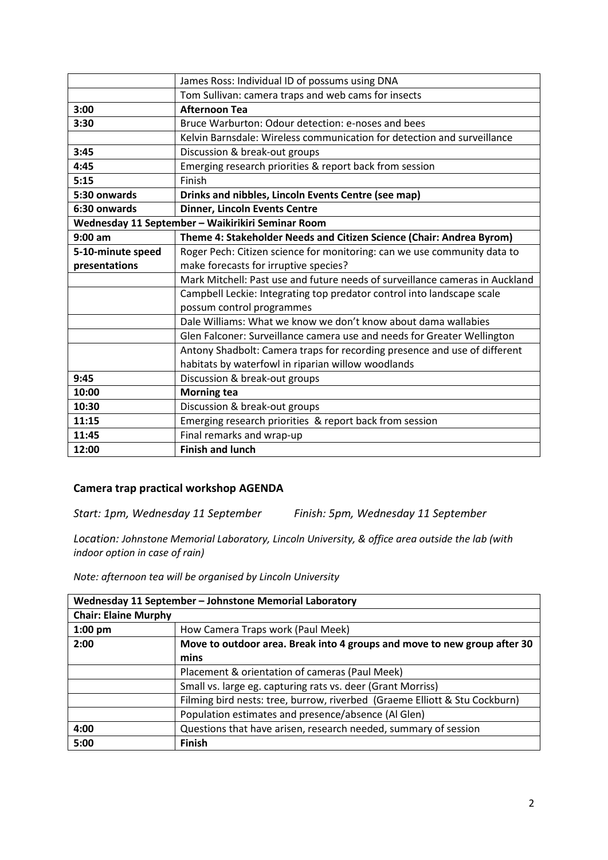|                                                   | James Ross: Individual ID of possums using DNA                               |
|---------------------------------------------------|------------------------------------------------------------------------------|
|                                                   | Tom Sullivan: camera traps and web cams for insects                          |
| 3:00                                              | <b>Afternoon Tea</b>                                                         |
| 3:30                                              | Bruce Warburton: Odour detection: e-noses and bees                           |
|                                                   | Kelvin Barnsdale: Wireless communication for detection and surveillance      |
| 3:45                                              | Discussion & break-out groups                                                |
| 4:45                                              | Emerging research priorities & report back from session                      |
| 5:15                                              | Finish                                                                       |
| 5:30 onwards                                      | Drinks and nibbles, Lincoln Events Centre (see map)                          |
| 6:30 onwards                                      | <b>Dinner, Lincoln Events Centre</b>                                         |
| Wednesday 11 September - Waikirikiri Seminar Room |                                                                              |
| $9:00$ am                                         | Theme 4: Stakeholder Needs and Citizen Science (Chair: Andrea Byrom)         |
| 5-10-minute speed                                 | Roger Pech: Citizen science for monitoring: can we use community data to     |
| presentations                                     | make forecasts for irruptive species?                                        |
|                                                   | Mark Mitchell: Past use and future needs of surveillance cameras in Auckland |
|                                                   | Campbell Leckie: Integrating top predator control into landscape scale       |
|                                                   | possum control programmes                                                    |
|                                                   | Dale Williams: What we know we don't know about dama wallabies               |
|                                                   | Glen Falconer: Surveillance camera use and needs for Greater Wellington      |
|                                                   | Antony Shadbolt: Camera traps for recording presence and use of different    |
|                                                   | habitats by waterfowl in riparian willow woodlands                           |
| 9:45                                              | Discussion & break-out groups                                                |
| 10:00                                             | <b>Morning tea</b>                                                           |
| 10:30                                             | Discussion & break-out groups                                                |
| 11:15                                             | Emerging research priorities & report back from session                      |
| 11:45                                             | Final remarks and wrap-up                                                    |
| 12:00                                             | <b>Finish and lunch</b>                                                      |

### **Camera trap practical workshop AGENDA**

*Start: 1pm, Wednesday 11 September Finish: 5pm, Wednesday 11 September*

*Location: Johnstone Memorial Laboratory, Lincoln University, & office area outside the lab (with indoor option in case of rain)*

*Note: afternoon tea will be organised by Lincoln University*

| Wednesday 11 September - Johnstone Memorial Laboratory |                                                                            |  |
|--------------------------------------------------------|----------------------------------------------------------------------------|--|
| <b>Chair: Elaine Murphy</b>                            |                                                                            |  |
| $1:00$ pm                                              | How Camera Traps work (Paul Meek)                                          |  |
| 2:00                                                   | Move to outdoor area. Break into 4 groups and move to new group after 30   |  |
|                                                        | mins                                                                       |  |
|                                                        | Placement & orientation of cameras (Paul Meek)                             |  |
|                                                        | Small vs. large eg. capturing rats vs. deer (Grant Morriss)                |  |
|                                                        | Filming bird nests: tree, burrow, riverbed (Graeme Elliott & Stu Cockburn) |  |
|                                                        | Population estimates and presence/absence (Al Glen)                        |  |
| 4:00                                                   | Questions that have arisen, research needed, summary of session            |  |
| 5:00                                                   | <b>Finish</b>                                                              |  |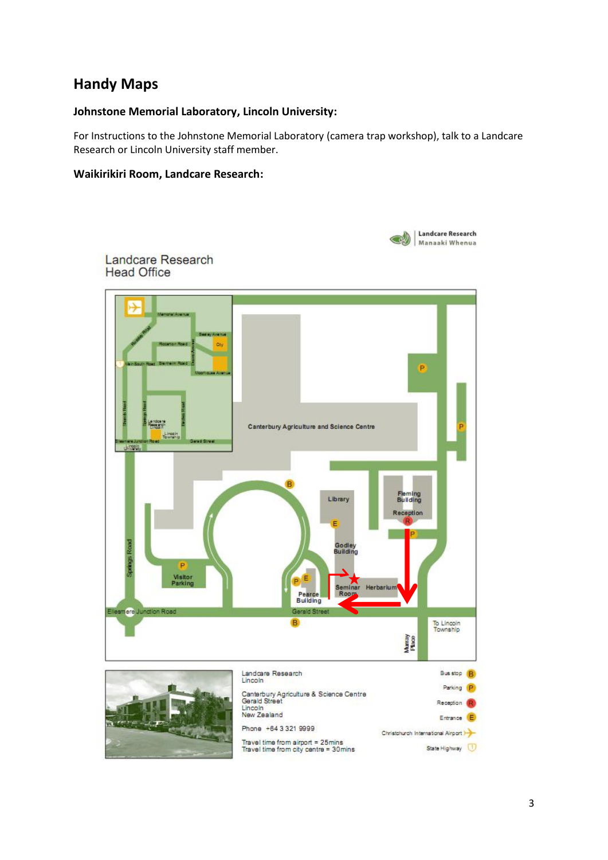# **Handy Maps**

### **Johnstone Memorial Laboratory, Lincoln University:**

For Instructions to the Johnstone Memorial Laboratory (camera trap workshop), talk to a Landcare Research or Lincoln University staff member.

### **Waikirikiri Room, Landcare Research:**